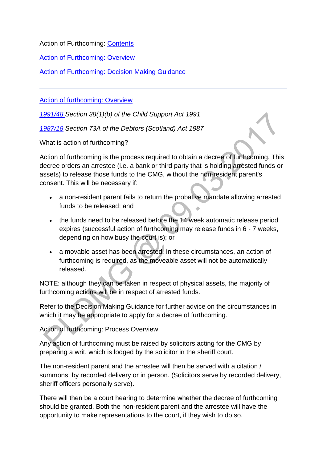Action of Furthcoming: [Contents](http://np-cmg-sharepoint.link2.gpn.gov.uk/sites/policy-law-and-decision-making-guidance/Pages/Legal%20Enforcement%20-%20Scotland/)

[Action of Furthcoming: Overview](http://np-cmg-sharepoint.link2.gpn.gov.uk/sites/policy-law-and-decision-making-guidance/Pages/Legal%20Enforcement%20-%20Scotland/Action-of-Furthcoming.aspx#Overview)

[Action of Furthcoming: Decision Making Guidance](http://np-cmg-sharepoint.link2.gpn.gov.uk/sites/policy-law-and-decision-making-guidance/Pages/Legal%20Enforcement%20-%20Scotland/Action-of-Furthcoming.aspx#DMG)

[Action of furthcoming: Overview](http://np-cmg-sharepoint.link2.gpn.gov.uk/sites/policy-law-and-decision-making-guidance/Pages/Legal%20Enforcement%20-%20Scotland/)

*[1991/48 S](http://www.legislation.gov.uk/ukpga/1991/48)ection 38(1)(b) of the Child Support Act 1991*

*[1987/18](http://www.legislation.gov.uk/ukpga/1987/18/contents) Section 73A of the Debtors (Scotland) Act 1987*

What is action of furthcoming?

Action of furthcoming is the process required to obtain a decree of furthcoming. This decree orders an arrestee (i.e. a bank or third party that is holding arrested funds or assets) to release those funds to the CMG, without the non-resident parent's consent. This will be necessary if:

- a non-resident parent fails to return the probative mandate allowing arrested funds to be released; and
- the funds need to be released before the 14 week automatic release period expires (successful action of furthcoming may release funds in 6 - 7 weeks, depending on how busy the court is); or
- a movable asset has been arrested. In these circumstances, an action of furthcoming is required, as the moveable asset will not be automatically released.

NOTE: although they can be taken in respect of physical assets, the majority of furthcoming actions will be in respect of arrested funds.

Refer to the Decision Making Guidance for further advice on the circumstances in which it may be appropriate to apply for a decree of furthcoming.

Action of furthcoming: Process Overview

Any action of furthcoming must be raised by solicitors acting for the CMG by preparing a writ, which is lodged by the solicitor in the sheriff court.

The non-resident parent and the arrestee will then be served with a citation / summons, by recorded delivery or in person. (Solicitors serve by recorded delivery, sheriff officers personally serve).

There will then be a court hearing to determine whether the decree of furthcoming should be granted. Both the non-resident parent and the arrestee will have the opportunity to make representations to the court, if they wish to do so.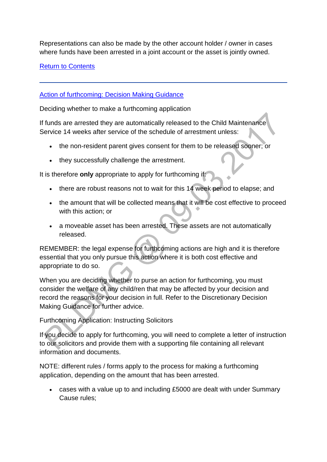Representations can also be made by the other account holder / owner in cases where funds have been arrested in a joint account or the asset is jointly owned.

[Return to Contents](http://np-cmg-sharepoint.link2.gpn.gov.uk/sites/policy-law-and-decision-making-guidance/Pages/Legal%20Enforcement%20-%20Scotland/Action-of-Furthcoming.aspx#Contents)

[Action of furthcoming: Decision Making Guidance](http://np-cmg-sharepoint.link2.gpn.gov.uk/sites/policy-law-and-decision-making-guidance/Pages/Legal%20Enforcement%20-%20Scotland/)

Deciding whether to make a furthcoming application

If funds are arrested they are automatically released to the Child Maintenance Service 14 weeks after service of the schedule of arrestment unless:

- the non-resident parent gives consent for them to be released sooner; or
- they successfully challenge the arrestment.

It is therefore **only** appropriate to apply for furthcoming if:

- there are robust reasons not to wait for this 14 week period to elapse; and
- the amount that will be collected means that it will be cost effective to proceed with this action; or
- a moveable asset has been arrested. These assets are not automatically released.

REMEMBER: the legal expense for furthcoming actions are high and it is therefore essential that you only pursue this action where it is both cost effective and appropriate to do so.

When you are deciding whether to purse an action for furthcoming, you must consider the welfare of any child/ren that may be affected by your decision and record the reasons for your decision in full. Refer to the Discretionary Decision Making Guidance for further advice.

Furthcoming Application: Instructing Solicitors

If you decide to apply for furthcoming, you will need to complete a letter of instruction to our solicitors and provide them with a supporting file containing all relevant information and documents.

NOTE: different rules / forms apply to the process for making a furthcoming application, depending on the amount that has been arrested.

 cases with a value up to and including £5000 are dealt with under Summary Cause rules;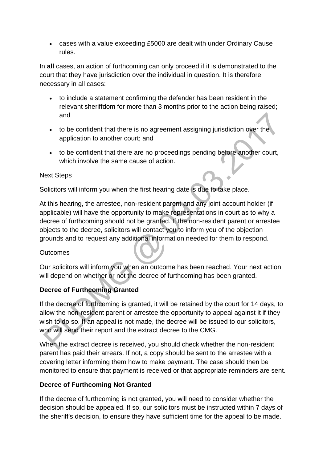cases with a value exceeding £5000 are dealt with under Ordinary Cause rules.

In **all** cases, an action of furthcoming can only proceed if it is demonstrated to the court that they have jurisdiction over the individual in question. It is therefore necessary in all cases:

- to include a statement confirming the defender has been resident in the relevant sheriffdom for more than 3 months prior to the action being raised; and
- to be confident that there is no agreement assigning jurisdiction over the application to another court; and
- to be confident that there are no proceedings pending before another court, which involve the same cause of action.

## Next Steps

Solicitors will inform you when the first hearing date is due to take place.

At this hearing, the arrestee, non-resident parent and any joint account holder (if applicable) will have the opportunity to make representations in court as to why a decree of furthcoming should not be granted. If the non-resident parent or arrestee objects to the decree, solicitors will contact you to inform you of the objection grounds and to request any additional information needed for them to respond.

## **Outcomes**

Our solicitors will inform you when an outcome has been reached. Your next action will depend on whether or not the decree of furthcoming has been granted.

## **Decree of Furthcoming Granted**

If the decree of furthcoming is granted, it will be retained by the court for 14 days, to allow the non-resident parent or arrestee the opportunity to appeal against it if they wish to do so. If an appeal is not made, the decree will be issued to our solicitors, who will send their report and the extract decree to the CMG.

When the extract decree is received, you should check whether the non-resident parent has paid their arrears. If not, a copy should be sent to the arrestee with a covering letter informing them how to make payment. The case should then be monitored to ensure that payment is received or that appropriate reminders are sent.

## **Decree of Furthcoming Not Granted**

If the decree of furthcoming is not granted, you will need to consider whether the decision should be appealed. If so, our solicitors must be instructed within 7 days of the sheriff's decision, to ensure they have sufficient time for the appeal to be made.